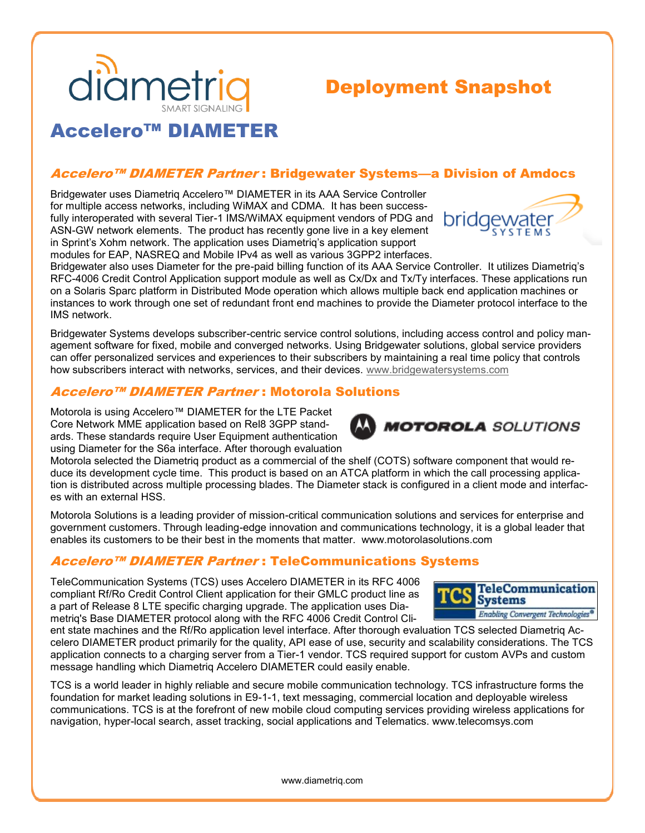

# Deployment Snapshot

## Accelero™ DIAMETER

### Accelero™ DIAMETER Partner: Bridgewater Systems—a Division of Amdocs

Bridgewater uses Diametriq Accelero™ DIAMETER in its AAA Service Controller for multiple access networks, including WiMAX and CDMA. It has been successfully interoperated with several Tier-1 IMS/WiMAX equipment vendors of PDG and ASN-GW network elements. The product has recently gone live in a key element in Sprint's Xohm network. The application uses Diametriq's application support modules for EAP, NASREQ and Mobile IPv4 as well as various 3GPP2 interfaces.



Bridgewater also uses Diameter for the pre-paid billing function of its AAA Service Controller. It utilizes Diametriq's RFC-4006 Credit Control Application support module as well as Cx/Dx and Tx/Ty interfaces. These applications run on a Solaris Sparc platform in Distributed Mode operation which allows multiple back end application machines or instances to work through one set of redundant front end machines to provide the Diameter protocol interface to the IMS network.

Bridgewater Systems develops subscriber-centric service control solutions, including access control and policy management software for fixed, mobile and converged networks. Using Bridgewater solutions, global service providers can offer personalized services and experiences to their subscribers by maintaining a real time policy that controls how subscribers interact with networks, services, and their devices. [www.bridgewatersystems.com](http://www.bridgewatersystems.com)

#### Accelero™ DIAMETER Partner : Motorola Solutions

Motorola is using Accelero™ DIAMETER for the LTE Packet Core Network MME application based on Rel8 3GPP standards. These standards require User Equipment authentication using Diameter for the S6a interface. After thorough evaluation

Motorola selected the Diametriq product as a commercial of the shelf (COTS) software component that would reduce its development cycle time. This product is based on an ATCA platform in which the call processing application is distributed across multiple processing blades. The Diameter stack is configured in a client mode and interfaces with an external HSS.

Motorola Solutions is a leading provider of mission-critical communication solutions and services for enterprise and government customers. Through leading-edge innovation and communications technology, it is a global leader that enables its customers to be their best in the moments that matter. www.motorolasolutions.com

#### Accelero™ DIAMETER Partner : TeleCommunications Systems

TeleCommunication Systems (TCS) uses Accelero DIAMETER in its RFC 4006 compliant Rf/Ro Credit Control Client application for their GMLC product line as a part of Release 8 LTE specific charging upgrade. The application uses Diametriq's Base DIAMETER protocol along with the RFC 4006 Credit Control Cli-



**MOTOROLA** SOLUTIONS

ent state machines and the Rf/Ro application level interface. After thorough evaluation TCS selected Diametriq Accelero DIAMETER product primarily for the quality, API ease of use, security and scalability considerations. The TCS application connects to a charging server from a Tier-1 vendor. TCS required support for custom AVPs and custom message handling which Diametriq Accelero DIAMETER could easily enable.

TCS is a world leader in highly reliable and secure mobile communication technology. TCS infrastructure forms the foundation for market leading solutions in E9-1-1, text messaging, commercial location and deployable wireless communications. TCS is at the forefront of new mobile cloud computing services providing wireless applications for navigation, hyper-local search, asset tracking, social applications and Telematics. www.telecomsys.com

www.diametriq.com